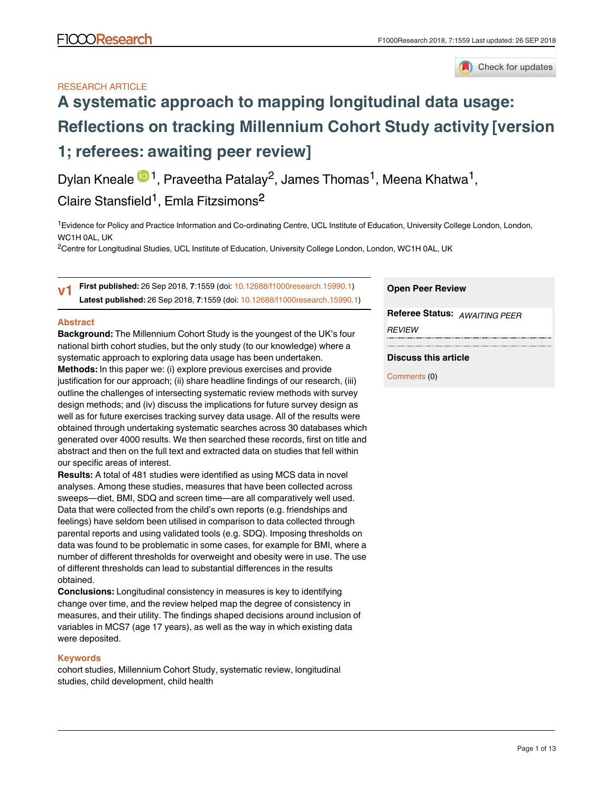# RESEARCH ARTICLE



# **[A systematic approach to mapping longitudinal data usage:](https://f1000research.com/articles/7-1559/v1) [Reflections on tracking Millennium Cohort Study activity](https://f1000research.com/articles/7-1559/v1) [version 1; referees: awaiting peer review]**

Dylan Kneale <sup>in 1</sup>, Praveetha Patalay<sup>2</sup>, James Thomas<sup>1</sup>, Meena Khatwa<sup>1</sup>, Claire Stansfield<sup>1</sup>, Emla Fitzsimons<sup>2</sup>

<sup>1</sup> Evidence for Policy and Practice Information and Co-ordinating Centre, UCL Institute of Education, University College London, London, WC1H 0AL, UK

 $^2$ Centre for Longitudinal Studies, UCL Institute of Education, University College London, London, WC1H 0AL, UK

**First published:** 26 Sep 2018, **7**:1559 (doi: [10.12688/f1000research.15990.1\)](http://dx.doi.org/10.12688/f1000research.15990.1) **Latest published:** 26 Sep 2018, **7**:1559 (doi: [10.12688/f1000research.15990.1\)](http://dx.doi.org/10.12688/f1000research.15990.1) **v1**

## **Abstract**

**Background:** The Millennium Cohort Study is the youngest of the UK's four national birth cohort studies, but the only study (to our knowledge) where a systematic approach to exploring data usage has been undertaken. **Methods:** In this paper we: (i) explore previous exercises and provide justification for our approach; (ii) share headline findings of our research, (iii) outline the challenges of intersecting systematic review methods with survey design methods; and (iv) discuss the implications for future survey design as well as for future exercises tracking survey data usage. All of the results were obtained through undertaking systematic searches across 30 databases which generated over 4000 results. We then searched these records, first on title and abstract and then on the full text and extracted data on studies that fell within our specific areas of interest.

**Results:** A total of 481 studies were identified as using MCS data in novel analyses. Among these studies, measures that have been collected across sweeps—diet, BMI, SDQ and screen time—are all comparatively well used. Data that were collected from the child's own reports (e.g. friendships and feelings) have seldom been utilised in comparison to data collected through parental reports and using validated tools (e.g. SDQ). Imposing thresholds on data was found to be problematic in some cases, for example for BMI, where a number of different thresholds for overweight and obesity were in use. The use of different thresholds can lead to substantial differences in the results obtained.

**Conclusions:** Longitudinal consistency in measures is key to identifying change over time, and the review helped map the degree of consistency in measures, and their utility. The findings shaped decisions around inclusion of variables in MCS7 (age 17 years), as well as the way in which existing data were deposited.

## **Keywords**

cohort studies, Millennium Cohort Study, systematic review, longitudinal studies, child development, child health

## **Open Peer Review**

**Referee Status:** *AWAITING PEER REVIEW*

## **Discuss this article**

Comments (0)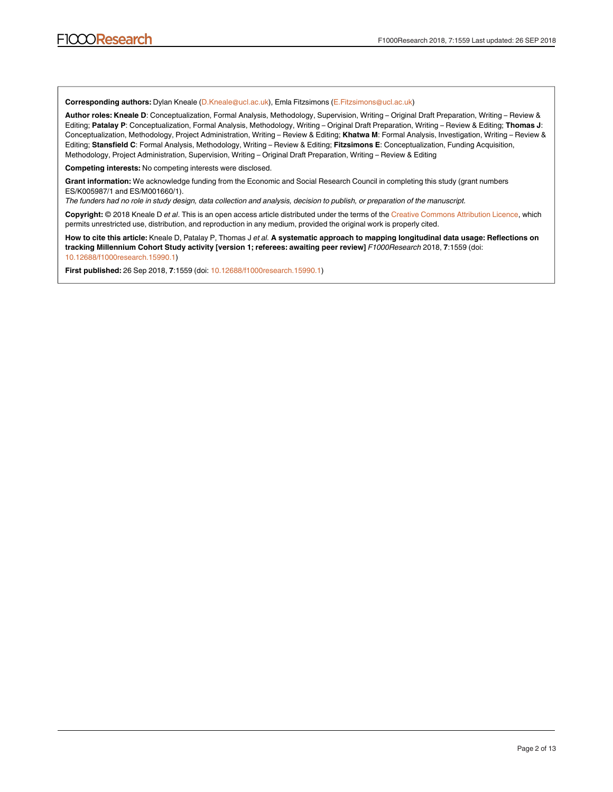**Corresponding authors:** Dylan Kneale (D.Kneale@ucl.ac.uk), Emla Fitzsimons (E.Fitzsimons@ucl.ac.uk)

**Author roles: Kneale D**: Conceptualization, Formal Analysis, Methodology, Supervision, Writing – Original Draft Preparation, Writing – Review & Editing; **Patalay P**: Conceptualization, Formal Analysis, Methodology, Writing – Original Draft Preparation, Writing – Review & Editing; **Thomas J**: Conceptualization, Methodology, Project Administration, Writing – Review & Editing; **Khatwa M**: Formal Analysis, Investigation, Writing – Review & Editing; **Stansfield C**: Formal Analysis, Methodology, Writing – Review & Editing; **Fitzsimons E**: Conceptualization, Funding Acquisition, Methodology, Project Administration, Supervision, Writing – Original Draft Preparation, Writing – Review & Editing

**Competing interests:** No competing interests were disclosed.

**Grant information:** We acknowledge funding from the Economic and Social Research Council in completing this study (grant numbers ES/K005987/1 and ES/M001660/1).

*The funders had no role in study design, data collection and analysis, decision to publish, or preparation of the manuscript.*

**Copyright:** © 2018 Kneale D *et al*. This is an open access article distributed under the terms of the [Creative Commons Attribution Licence,](http://creativecommons.org/licenses/by/4.0/) which permits unrestricted use, distribution, and reproduction in any medium, provided the original work is properly cited.

**How to cite this article:** Kneale D, Patalay P, Thomas J *et al.* **A systematic approach to mapping longitudinal data usage: Reflections on tracking Millennium Cohort Study activity [version 1; referees: awaiting peer review]** *F1000Research* 2018, **7**:1559 (doi: [10.12688/f1000research.15990.1\)](http://dx.doi.org/10.12688/f1000research.15990.1)

**First published:** 26 Sep 2018, **7**:1559 (doi: [10.12688/f1000research.15990.1\)](http://dx.doi.org/10.12688/f1000research.15990.1)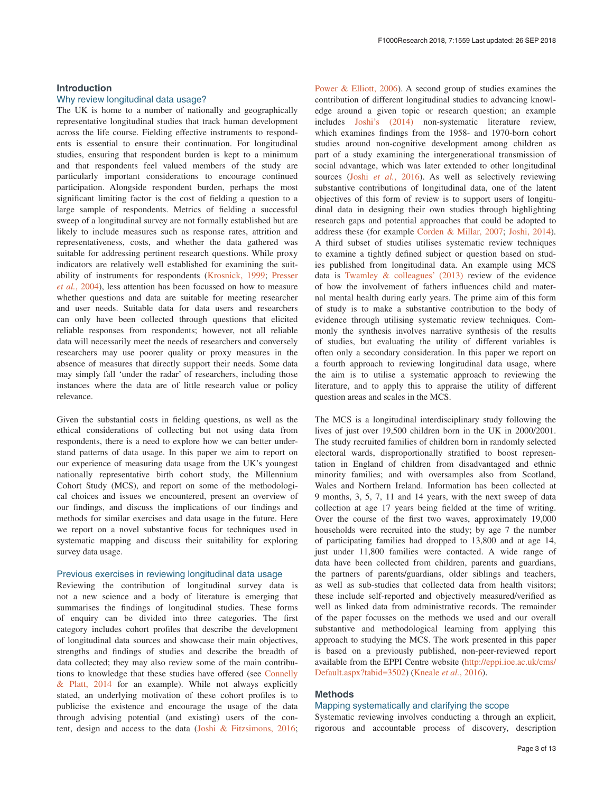## **Introduction**

## Why review longitudinal data usage?

The UK is home to a number of nationally and geographically representative longitudinal studies that track human development across the life course. Fielding effective instruments to respondents is essential to ensure their continuation. For longitudinal studies, ensuring that respondent burden is kept to a minimum and that respondents feel valued members of the study are particularly important considerations to encourage continued participation. Alongside respondent burden, perhaps the most significant limiting factor is the cost of fielding a question to a large sample of respondents. Metrics of fielding a successful sweep of a longitudinal survey are not formally established but are likely to include measures such as response rates, attrition and representativeness, costs, and whether the data gathered was suitable for addressing pertinent research questions. While proxy indicators are relatively well established for examining the suitability of instruments for respondents [\(Krosnick, 1999;](#page-11-0) [Presser](#page-11-0)  *et al.*[, 2004\)](#page-11-0), less attention has been focussed on how to measure whether questions and data are suitable for meeting researcher and user needs. Suitable data for data users and researchers can only have been collected through questions that elicited reliable responses from respondents; however, not all reliable data will necessarily meet the needs of researchers and conversely researchers may use poorer quality or proxy measures in the absence of measures that directly support their needs. Some data may simply fall 'under the radar' of researchers, including those instances where the data are of little research value or policy relevance.

Given the substantial costs in fielding questions, as well as the ethical considerations of collecting but not using data from respondents, there is a need to explore how we can better understand patterns of data usage. In this paper we aim to report on our experience of measuring data usage from the UK's youngest nationally representative birth cohort study, the Millennium Cohort Study (MCS), and report on some of the methodological choices and issues we encountered, present an overview of our findings, and discuss the implications of our findings and methods for similar exercises and data usage in the future. Here we report on a novel substantive focus for techniques used in systematic mapping and discuss their suitability for exploring survey data usage.

#### Previous exercises in reviewing longitudinal data usage

Reviewing the contribution of longitudinal survey data is not a new science and a body of literature is emerging that summarises the findings of longitudinal studies. These forms of enquiry can be divided into three categories. The first category includes cohort profiles that describe the development of longitudinal data sources and showcase their main objectives, strengths and findings of studies and describe the breadth of data collected; they may also review some of the main contributions to knowledge that these studies have offered (see [Connelly](#page-10-0)  [& Platt, 2014](#page-10-0) for an example). While not always explicitly stated, an underlying motivation of these cohort profiles is to publicise the existence and encourage the usage of the data through advising potential (and existing) users of the content, design and access to the data [\(Joshi & Fitzsimons, 2016](#page-10-0);

[Power & Elliott, 2006](#page-11-0)). A second group of studies examines the contribution of different longitudinal studies to advancing knowledge around a given topic or research question; an example includes [Joshi's \(2014\)](#page-10-0) non-systematic literature review, which examines findings from the 1958- and 1970-born cohort studies around non-cognitive development among children as part of a study examining the intergenerational transmission of social advantage, which was later extended to other longitudinal sources (Joshi *et al.*[, 2016](#page-11-0)). As well as selectively reviewing substantive contributions of longitudinal data, one of the latent objectives of this form of review is to support users of longitudinal data in designing their own studies through highlighting research gaps and potential approaches that could be adopted to address these (for example [Corden & Millar, 2007;](#page-10-0) [Joshi, 2014](#page-10-0)). A third subset of studies utilises systematic review techniques to examine a tightly defined subject or question based on studies published from longitudinal data. An example using MCS data is [Twamley & colleagues' \(2013\)](#page-11-0) review of the evidence of how the involvement of fathers influences child and maternal mental health during early years. The prime aim of this form of study is to make a substantive contribution to the body of evidence through utilising systematic review techniques. Commonly the synthesis involves narrative synthesis of the results of studies, but evaluating the utility of different variables is often only a secondary consideration. In this paper we report on a fourth approach to reviewing longitudinal data usage, where the aim is to utilise a systematic approach to reviewing the literature, and to apply this to appraise the utility of different question areas and scales in the MCS.

The MCS is a longitudinal interdisciplinary study following the lives of just over 19,500 children born in the UK in 2000/2001. The study recruited families of children born in randomly selected electoral wards, disproportionally stratified to boost representation in England of children from disadvantaged and ethnic minority families; and with oversamples also from Scotland, Wales and Northern Ireland. Information has been collected at 9 months, 3, 5, 7, 11 and 14 years, with the next sweep of data collection at age 17 years being fielded at the time of writing. Over the course of the first two waves, approximately 19,000 households were recruited into the study; by age 7 the number of participating families had dropped to 13,800 and at age 14, just under 11,800 families were contacted. A wide range of data have been collected from children, parents and guardians, the partners of parents/guardians, older siblings and teachers, as well as sub-studies that collected data from health visitors; these include self-reported and objectively measured/verified as well as linked data from administrative records. The remainder of the paper focusses on the methods we used and our overall substantive and methodological learning from applying this approach to studying the MCS. The work presented in this paper is based on a previously published, non-peer-reviewed report available from the EPPI Centre website [\(http://eppi.ioe.ac.uk/cms/](http://eppi.ioe.ac.uk/cms/Default.aspx?tabid=3502) [Default.aspx?tabid=3502](http://eppi.ioe.ac.uk/cms/Default.aspx?tabid=3502)) ([Kneale](#page-11-0) *et al.*, 2016).

# **Methods**

# Mapping systematically and clarifying the scope

Systematic reviewing involves conducting a through an explicit, rigorous and accountable process of discovery, description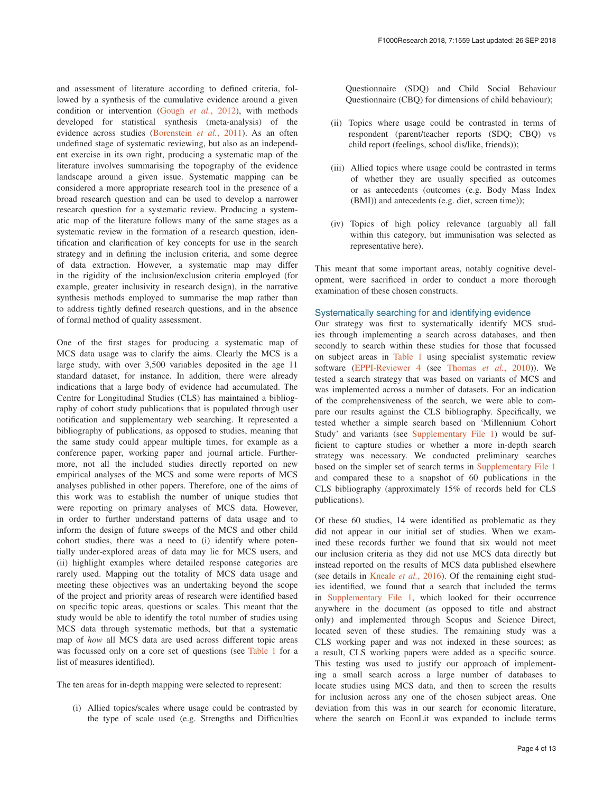and assessment of literature according to defined criteria, followed by a synthesis of the cumulative evidence around a given condition or intervention ([Gough](#page-10-0) *et al.*, 2012), with methods developed for statistical synthesis (meta-analysis) of the evidence across studies ([Borenstein](#page-10-0) *et al.*, 2011). As an often undefined stage of systematic reviewing, but also as an independent exercise in its own right, producing a systematic map of the literature involves summarising the topography of the evidence landscape around a given issue. Systematic mapping can be considered a more appropriate research tool in the presence of a broad research question and can be used to develop a narrower research question for a systematic review. Producing a systematic map of the literature follows many of the same stages as a systematic review in the formation of a research question, identification and clarification of key concepts for use in the search strategy and in defining the inclusion criteria, and some degree of data extraction. However, a systematic map may differ in the rigidity of the inclusion/exclusion criteria employed (for example, greater inclusivity in research design), in the narrative synthesis methods employed to summarise the map rather than to address tightly defined research questions, and in the absence of formal method of quality assessment.

One of the first stages for producing a systematic map of MCS data usage was to clarify the aims. Clearly the MCS is a large study, with over 3,500 variables deposited in the age 11 standard dataset, for instance. In addition, there were already indications that a large body of evidence had accumulated. The Centre for Longitudinal Studies (CLS) has maintained a bibliography of cohort study publications that is populated through user notification and supplementary web searching. It represented a bibliography of publications, as opposed to studies, meaning that the same study could appear multiple times, for example as a conference paper, working paper and journal article. Furthermore, not all the included studies directly reported on new empirical analyses of the MCS and some were reports of MCS analyses published in other papers. Therefore, one of the aims of this work was to establish the number of unique studies that were reporting on primary analyses of MCS data. However, in order to further understand patterns of data usage and to inform the design of future sweeps of the MCS and other child cohort studies, there was a need to (i) identify where potentially under-explored areas of data may lie for MCS users, and (ii) highlight examples where detailed response categories are rarely used. Mapping out the totality of MCS data usage and meeting these objectives was an undertaking beyond the scope of the project and priority areas of research were identified based on specific topic areas, questions or scales. This meant that the study would be able to identify the total number of studies using MCS data through systematic methods, but that a systematic map of *how* all MCS data are used across different topic areas was focussed only on a core set of questions (see [Table 1](#page-4-0) for a list of measures identified).

The ten areas for in-depth mapping were selected to represent:

(i) Allied topics/scales where usage could be contrasted by the type of scale used (e.g. Strengths and Difficulties Questionnaire (SDQ) and Child Social Behaviour Questionnaire (CBQ) for dimensions of child behaviour);

- (ii) Topics where usage could be contrasted in terms of respondent (parent/teacher reports (SDQ; CBQ) vs child report (feelings, school dis/like, friends));
- (iii) Allied topics where usage could be contrasted in terms of whether they are usually specified as outcomes or as antecedents (outcomes (e.g. Body Mass Index (BMI)) and antecedents (e.g. diet, screen time));
- (iv) Topics of high policy relevance (arguably all fall within this category, but immunisation was selected as representative here).

This meant that some important areas, notably cognitive development, were sacrificed in order to conduct a more thorough examination of these chosen constructs.

## Systematically searching for and identifying evidence

Our strategy was first to systematically identify MCS studies through implementing a search across databases, and then secondly to search within these studies for those that focussed on subject areas in [Table 1](#page-4-0) using specialist systematic review software ([EPPI-Reviewer 4](https://eppi.ioe.ac.uk/CMS/Default.aspx?alias=eppi.ioe.ac.uk/cms/er4&) (see [Thomas](#page-11-0) *et al.*, 2010)). We tested a search strategy that was based on variants of MCS and was implemented across a number of datasets. For an indication of the comprehensiveness of the search, we were able to compare our results against the CLS bibliography. Specifically, we tested whether a simple search based on 'Millennium Cohort Study' and variants (see [Supplementary File 1](#page-10-0)) would be sufficient to capture studies or whether a more in-depth search strategy was necessary. We conducted preliminary searches based on the simpler set of search terms in [Supplementary File 1](#page-10-0) and compared these to a snapshot of 60 publications in the CLS bibliography (approximately 15% of records held for CLS publications).

Of these 60 studies, 14 were identified as problematic as they did not appear in our initial set of studies. When we examined these records further we found that six would not meet our inclusion criteria as they did not use MCS data directly but instead reported on the results of MCS data published elsewhere (see details in [Kneale](#page-11-0) *et al.*, 2016). Of the remaining eight studies identified, we found that a search that included the terms in [Supplementary File 1,](#page-10-0) which looked for their occurrence anywhere in the document (as opposed to title and abstract only) and implemented through Scopus and Science Direct, located seven of these studies. The remaining study was a CLS working paper and was not indexed in these sources; as a result, CLS working papers were added as a specific source. This testing was used to justify our approach of implementing a small search across a large number of databases to locate studies using MCS data, and then to screen the results for inclusion across any one of the chosen subject areas. One deviation from this was in our search for economic literature, where the search on EconLit was expanded to include terms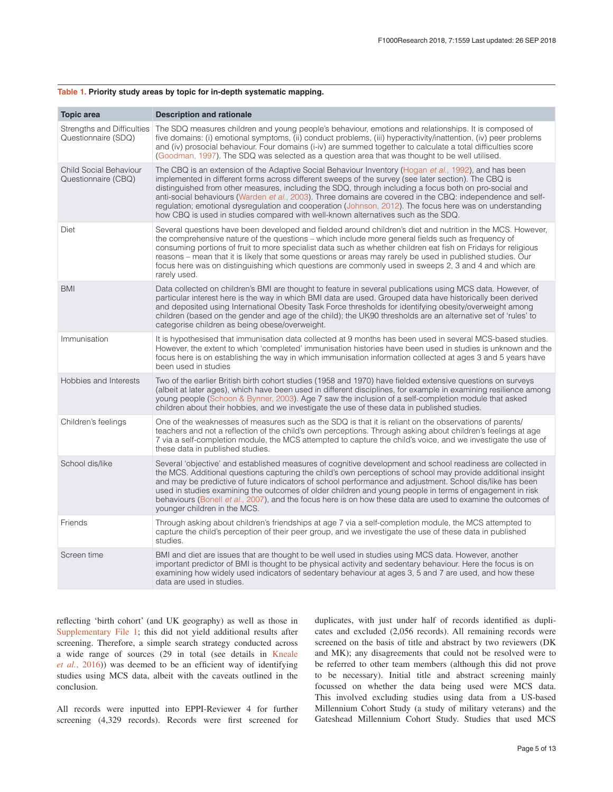| <b>Description and rationale</b>                                                                                                                                                                                                                                                                                                                                                                                                                                                                                                                                                                                                               |
|------------------------------------------------------------------------------------------------------------------------------------------------------------------------------------------------------------------------------------------------------------------------------------------------------------------------------------------------------------------------------------------------------------------------------------------------------------------------------------------------------------------------------------------------------------------------------------------------------------------------------------------------|
| The SDQ measures children and young people's behaviour, emotions and relationships. It is composed of<br>five domains: (i) emotional symptoms, (ii) conduct problems, (iii) hyperactivity/inattention, (iv) peer problems<br>and (iv) prosocial behaviour. Four domains (i-iv) are summed together to calculate a total difficulties score<br>(Goodman, 1997). The SDQ was selected as a question area that was thought to be well utilised.                                                                                                                                                                                                   |
| The CBQ is an extension of the Adaptive Social Behaviour Inventory (Hogan <i>et al.</i> , 1992), and has been<br>implemented in different forms across different sweeps of the survey (see later section). The CBQ is<br>distinguished from other measures, including the SDQ, through including a focus both on pro-social and<br>anti-social behaviours (Warden et al., 2003). Three domains are covered in the CBQ: independence and self-<br>regulation; emotional dysregulation and cooperation (Johnson, 2012). The focus here was on understanding<br>how CBQ is used in studies compared with well-known alternatives such as the SDQ. |
| Several questions have been developed and fielded around children's diet and nutrition in the MCS. However,<br>the comprehensive nature of the questions – which include more general fields such as frequency of<br>consuming portions of fruit to more specialist data such as whether children eat fish on Fridays for religious<br>reasons – mean that it is likely that some questions or areas may rarely be used in published studies. Our<br>focus here was on distinguishing which questions are commonly used in sweeps 2, 3 and 4 and which are<br>rarely used.                                                                     |
| Data collected on children's BMI are thought to feature in several publications using MCS data. However, of<br>particular interest here is the way in which BMI data are used. Grouped data have historically been derived<br>and deposited using International Obesity Task Force thresholds for identifying obesity/overweight among<br>children (based on the gender and age of the child); the UK90 thresholds are an alternative set of 'rules' to<br>categorise children as being obese/overweight.                                                                                                                                      |
| It is hypothesised that immunisation data collected at 9 months has been used in several MCS-based studies.<br>However, the extent to which 'completed' immunisation histories have been used in studies is unknown and the<br>focus here is on establishing the way in which immunisation information collected at ages 3 and 5 years have<br>been used in studies                                                                                                                                                                                                                                                                            |
| Two of the earlier British birth cohort studies (1958 and 1970) have fielded extensive questions on surveys<br>(albeit at later ages), which have been used in different disciplines, for example in examining resilience among<br>young people (Schoon & Bynner, 2003). Age 7 saw the inclusion of a self-completion module that asked<br>children about their hobbies, and we investigate the use of these data in published studies.                                                                                                                                                                                                        |
| One of the weaknesses of measures such as the SDQ is that it is reliant on the observations of parents/<br>teachers and not a reflection of the child's own perceptions. Through asking about children's feelings at age<br>7 via a self-completion module, the MCS attempted to capture the child's voice, and we investigate the use of<br>these data in published studies.                                                                                                                                                                                                                                                                  |
| Several 'objective' and established measures of cognitive development and school readiness are collected in<br>the MCS. Additional questions capturing the child's own perceptions of school may provide additional insight<br>and may be predictive of future indicators of school performance and adjustment. School dis/like has been<br>used in studies examining the outcomes of older children and young people in terms of engagement in risk<br>behaviours (Bonell et al., 2007), and the focus here is on how these data are used to examine the outcomes of<br>younger children in the MCS.                                          |
| Through asking about children's friendships at age 7 via a self-completion module, the MCS attempted to<br>capture the child's perception of their peer group, and we investigate the use of these data in published<br>studies.                                                                                                                                                                                                                                                                                                                                                                                                               |
| BMI and diet are issues that are thought to be well used in studies using MCS data. However, another<br>important predictor of BMI is thought to be physical activity and sedentary behaviour. Here the focus is on<br>examining how widely used indicators of sedentary behaviour at ages 3, 5 and 7 are used, and how these<br>data are used in studies.                                                                                                                                                                                                                                                                                     |
|                                                                                                                                                                                                                                                                                                                                                                                                                                                                                                                                                                                                                                                |

#### <span id="page-4-0"></span>**Table 1. Priority study areas by topic for in-depth systematic mapping.**

reflecting 'birth cohort' (and UK geography) as well as those in [Supplementary File 1;](#page-10-0) this did not yield additional results after screening. Therefore, a simple search strategy conducted across a wide range of sources (29 in total (see details in [Kneale](#page-11-0)  *et al.*[, 2016](#page-11-0))) was deemed to be an efficient way of identifying studies using MCS data, albeit with the caveats outlined in the conclusion.

All records were inputted into EPPI-Reviewer 4 for further screening (4,329 records). Records were first screened for

duplicates, with just under half of records identified as duplicates and excluded (2,056 records). All remaining records were screened on the basis of title and abstract by two reviewers (DK and MK); any disagreements that could not be resolved were to be referred to other team members (although this did not prove to be necessary). Initial title and abstract screening mainly focussed on whether the data being used were MCS data. This involved excluding studies using data from a US-based Millennium Cohort Study (a study of military veterans) and the Gateshead Millennium Cohort Study. Studies that used MCS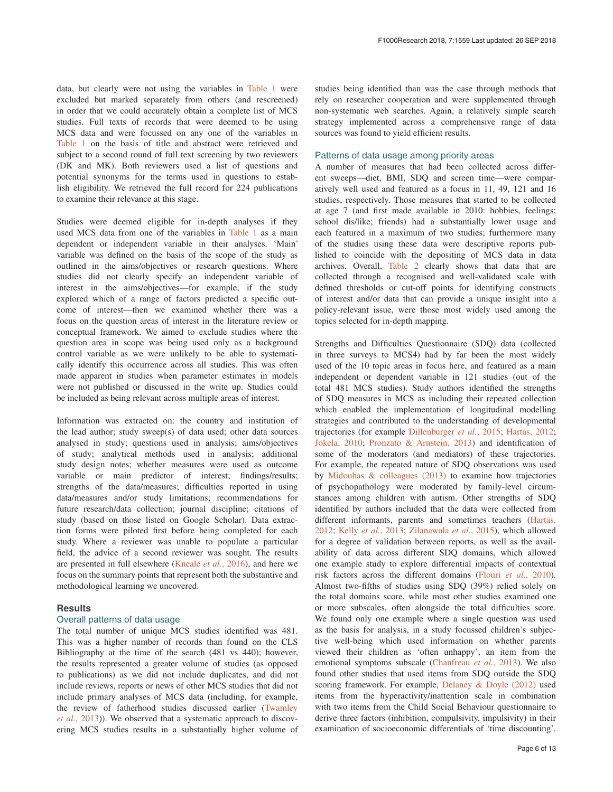data, but clearly were not using the variables in [Table 1](#page-4-0) were excluded but marked separately from others (and rescreened) in order that we could accurately obtain a complete list of MCS studies. Full texts of records that were deemed to be using MCS data and were focussed on any one of the variables in [Table 1](#page-4-0) on the basis of title and abstract were retrieved and subject to a second round of full text screening by two reviewers (DK and MK). Both reviewers used a list of questions and potential synonyms for the terms used in questions to establish eligibility. We retrieved the full record for 224 publications to examine their relevance at this stage.

Studies were deemed eligible for in-depth analyses if they used MCS data from one of the variables in [Table 1](#page-4-0) as a main dependent or independent variable in their analyses. 'Main' variable was defined on the basis of the scope of the study as outlined in the aims/objectives or research questions. Where studies did not clearly specify an independent variable of interest in the aims/objectives—for example, if the study explored which of a range of factors predicted a specific outcome of interest—then we examined whether there was a focus on the question areas of interest in the literature review or conceptual framework. We aimed to exclude studies where the question area in scope was being used only as a background control variable as we were unlikely to be able to systematically identify this occurrence across all studies. This was often made apparent in studies when parameter estimates in models were not published or discussed in the write up. Studies could be included as being relevant across multiple areas of interest.

Information was extracted on: the country and institution of the lead author; study sweep(s) of data used; other data sources analysed in study; questions used in analysis; aims/objectives of study; analytical methods used in analysis; additional study design notes; whether measures were used as outcome variable or main predictor of interest; findings/results; strengths of the data/measures; difficulties reported in using data/measures and/or study limitations; recommendations for future research/data collection; journal discipline; citations of study (based on those listed on Google Scholar). Data extraction forms were piloted first before being completed for each study. Where a reviewer was unable to populate a particular field, the advice of a second reviewer was sought. The results are presented in full elsewhere ([Kneale](#page-11-0) *et al.*, 2016), and here we focus on the summary points that represent both the substantive and methodological learning we uncovered.

### **Results**

#### Overall patterns of data usage

The total number of unique MCS studies identified was 481. This was a higher number of records than found on the CLS Bibliography at the time of the search (481 vs 440); however, the results represented a greater volume of studies (as opposed to publications) as we did not include duplicates, and did not include reviews, reports or news of other MCS studies that did not include primary analyses of MCS data (including, for example, the review of fatherhood studies discussed earlier ([Twamley](#page-11-0)  *et al.*[, 2013\)](#page-11-0)). We observed that a systematic approach to discovering MCS studies results in a substantially higher volume of

studies being identified than was the case through methods that rely on researcher cooperation and were supplemented through non-systematic web searches. Again, a relatively simple search strategy implemented across a comprehensive range of data sources was found to yield efficient results.

#### Patterns of data usage among priority areas

A number of measures that had been collected across different sweeps—diet, BMI, SDQ and screen time—were comparatively well used and featured as a focus in 11, 49, 121 and 16 studies, respectively. Those measures that started to be collected at age 7 (and first made available in 2010: hobbies, feelings; school dis/like; friends) had a substantially lower usage and each featured in a maximum of two studies; furthermore many of the studies using these data were descriptive reports published to coincide with the depositing of MCS data in data archives. Overall, [Table 2](#page-7-0) clearly shows that data that are collected through a recognised and well-validated scale with defined thresholds or cut-off points for identifying constructs of interest and/or data that can provide a unique insight into a policy-relevant issue, were those most widely used among the topics selected for in-depth mapping.

Strengths and Difficulties Questionnaire (SDQ) data (collected in three surveys to MCS4) had by far been the most widely used of the 10 topic areas in focus here, and featured as a main independent or dependent variable in 121 studies (out of the total 481 MCS studies). Study authors identified the strengths of SDQ measures in MCS as including their repeated collection which enabled the implementation of longitudinal modelling strategies and contributed to the understanding of developmental trajectories (for example [Dillenburger](#page-10-0) *et al.*, 2015; [Hartas, 2012](#page-10-0); [Jokela, 2010](#page-10-0); [Pronzato & Arnstein, 2013\)](#page-11-0) and identification of some of the moderators (and mediators) of these trajectories. For example, the repeated nature of SDQ observations was used by [Midouhas & colleagues \(2013\)](#page-11-0) to examine how trajectories of psychopathology were moderated by family-level circumstances among children with autism. Other strengths of SDQ identified by authors included that the data were collected from different informants, parents and sometimes teachers ([Hartas,](#page-10-0)  [2012;](#page-10-0) Kelly *et al.*[, 2013](#page-11-0); [Zilanawala](#page-11-0) *et al.*, 2015), which allowed for a degree of validation between reports, as well as the availability of data across different SDQ domains, which allowed one example study to explore differential impacts of contextual risk factors across the different domains (Flouri *et al*[., 2010](#page-10-0)). Almost two-fifths of studies using SDQ (39%) relied solely on the total domains score, while most other studies examined one or more subscales, often alongside the total difficulties score. We found only one example where a single question was used as the basis for analysis, in a study focussed children's subjective well-being which used information on whether parents viewed their children as 'often unhappy', an item from the emotional symptoms subscale [\(Chanfreau](#page-10-0) *et al.*, 2013). We also found other studies that used items from SDQ outside the SDQ scoring framework. For example, [Delaney & Doyle \(2012\)](#page-10-0) used items from the hyperactivity/inattention scale in combination with two items from the Child Social Behaviour questionnaire to derive three factors (inhibition, compulsivity, impulsivity) in their examination of socioeconomic differentials of 'time discounting'.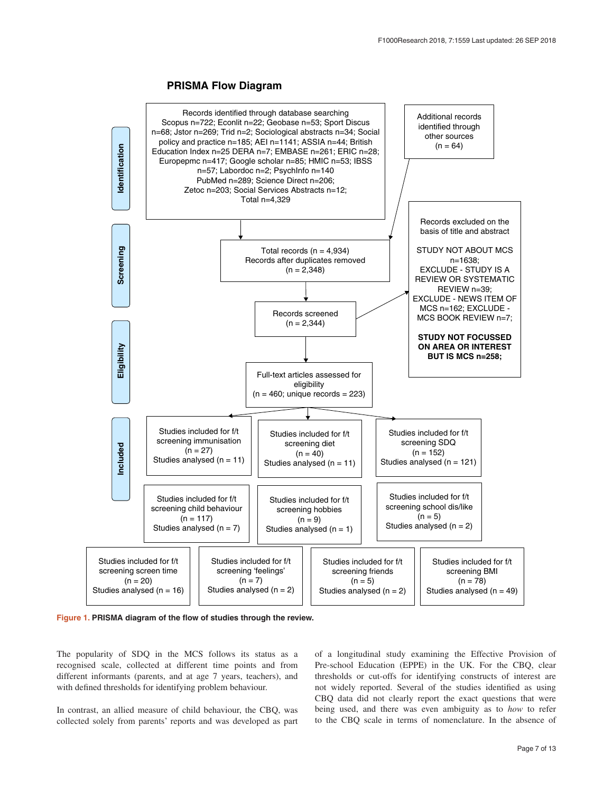# **PRISMA Flow Diagram**



**Figure 1. PRISMA diagram of the flow of studies through the review.**

The popularity of SDQ in the MCS follows its status as a recognised scale, collected at different time points and from different informants (parents, and at age 7 years, teachers), and with defined thresholds for identifying problem behaviour.

In contrast, an allied measure of child behaviour, the CBQ, was collected solely from parents' reports and was developed as part of a longitudinal study examining the Effective Provision of Pre-school Education (EPPE) in the UK. For the CBQ, clear thresholds or cut-offs for identifying constructs of interest are not widely reported. Several of the studies identified as using CBQ data did not clearly report the exact questions that were being used, and there was even ambiguity as to *how* to refer to the CBQ scale in terms of nomenclature. In the absence of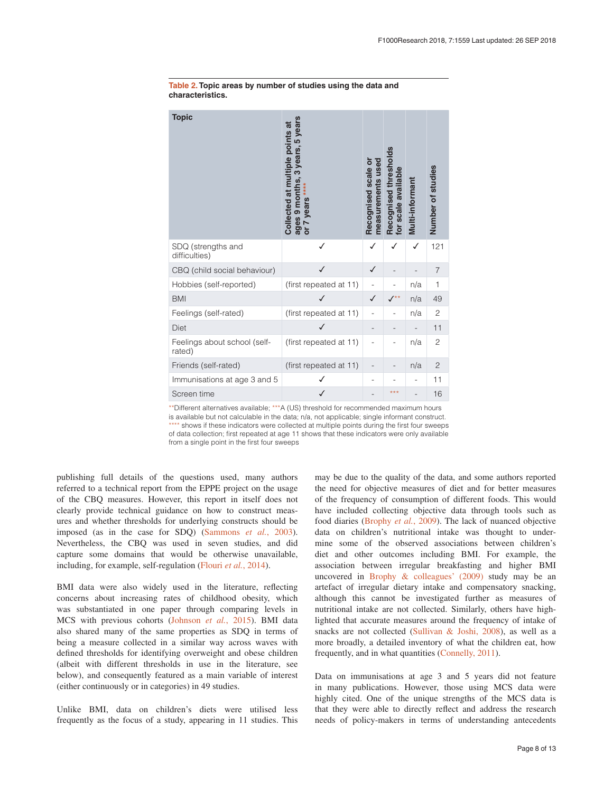| <b>Topic</b>                           | years<br>Collected at multiple points at<br>5<br>years,<br>က<br>9 months<br>years<br>ages<br>$\overline{5}$ | Recognised scale or<br>measurements used | Recognised thresholds<br>for scale available | Multi-informant | Number of studies |
|----------------------------------------|-------------------------------------------------------------------------------------------------------------|------------------------------------------|----------------------------------------------|-----------------|-------------------|
| SDQ (strengths and<br>difficulties)    | ✓                                                                                                           |                                          |                                              | ✓               | 121               |
| CBQ (child social behaviour)           | √                                                                                                           | ✓                                        |                                              |                 | 7                 |
| Hobbies (self-reported)                | (first repeated at 11)                                                                                      |                                          |                                              | n/a             | $\mathbf{1}$      |
| <b>BMI</b>                             |                                                                                                             |                                          |                                              | n/a             | 49                |
| Feelings (self-rated)                  | (first repeated at 11)                                                                                      | ÷                                        |                                              | n/a             | $\overline{c}$    |
| <b>Diet</b>                            |                                                                                                             |                                          |                                              |                 | 11                |
| Feelings about school (self-<br>rated) | (first repeated at 11)                                                                                      |                                          |                                              | n/a             | $\overline{c}$    |
| Friends (self-rated)                   | (first repeated at 11)                                                                                      |                                          |                                              | n/a             | $\mathbf{2}$      |
| Immunisations at age 3 and 5           |                                                                                                             |                                          |                                              |                 | 11                |
| Screen time                            |                                                                                                             |                                          | ***                                          |                 | 16                |

#### <span id="page-7-0"></span>**Table 2. Topic areas by number of studies using the data and characteristics.**

\*\*Different alternatives available; \*\*\*A (US) threshold for recommended maximum hours is available but not calculable in the data; n/a, not applicable; single informant construct. \*\*\*\* shows if these indicators were collected at multiple points during the first four sweeps of data collection; first repeated at age 11 shows that these indicators were only available from a single point in the first four sweeps

publishing full details of the questions used, many authors referred to a technical report from the EPPE project on the usage of the CBQ measures. However, this report in itself does not clearly provide technical guidance on how to construct measures and whether thresholds for underlying constructs should be imposed (as in the case for SDQ) [\(Sammons](#page-11-0) *et al.*, 2003). Nevertheless, the CBQ was used in seven studies, and did capture some domains that would be otherwise unavailable, including, for example, self-regulation [\(Flouri](#page-10-0) *et al.*, 2014).

BMI data were also widely used in the literature, reflecting concerns about increasing rates of childhood obesity, which was substantiated in one paper through comparing levels in MCS with previous cohorts [\(Johnson](#page-10-0) *et al.*, 2015). BMI data also shared many of the same properties as SDQ in terms of being a measure collected in a similar way across waves with defined thresholds for identifying overweight and obese children (albeit with different thresholds in use in the literature, see below), and consequently featured as a main variable of interest (either continuously or in categories) in 49 studies.

Unlike BMI, data on children's diets were utilised less frequently as the focus of a study, appearing in 11 studies. This may be due to the quality of the data, and some authors reported the need for objective measures of diet and for better measures of the frequency of consumption of different foods. This would have included collecting objective data through tools such as food diaries [\(Brophy](#page-10-0) *et al.*, 2009). The lack of nuanced objective data on children's nutritional intake was thought to undermine some of the observed associations between children's diet and other outcomes including BMI. For example, the association between irregular breakfasting and higher BMI uncovered in [Brophy & colleagues' \(2009\)](#page-10-0) study may be an artefact of irregular dietary intake and compensatory snacking, although this cannot be investigated further as measures of nutritional intake are not collected. Similarly, others have highlighted that accurate measures around the frequency of intake of snacks are not collected ([Sullivan & Joshi, 2008\)](#page-11-0), as well as a more broadly, a detailed inventory of what the children eat, how frequently, and in what quantities [\(Connelly, 2011\)](#page-10-0).

Data on immunisations at age 3 and 5 years did not feature in many publications. However, those using MCS data were highly cited. One of the unique strengths of the MCS data is that they were able to directly reflect and address the research needs of policy-makers in terms of understanding antecedents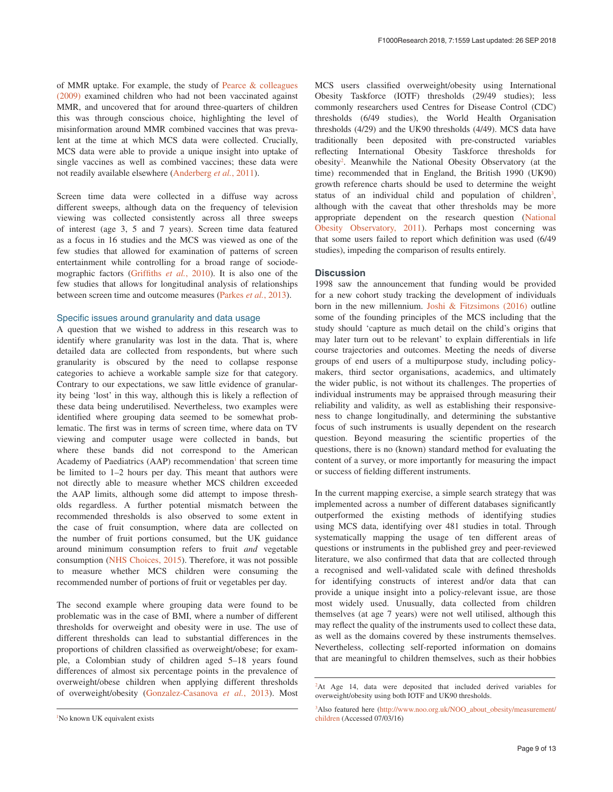of MMR uptake. For example, the study of [Pearce & colleagues](#page-11-0)  [\(2009\)](#page-11-0) examined children who had not been vaccinated against MMR, and uncovered that for around three-quarters of children this was through conscious choice, highlighting the level of misinformation around MMR combined vaccines that was prevalent at the time at which MCS data were collected. Crucially, MCS data were able to provide a unique insight into uptake of single vaccines as well as combined vaccines; these data were not readily available elsewhere [\(Anderberg](#page-10-0) *et al.*, 2011).

Screen time data were collected in a diffuse way across different sweeps, although data on the frequency of television viewing was collected consistently across all three sweeps of interest (age 3, 5 and 7 years). Screen time data featured as a focus in 16 studies and the MCS was viewed as one of the few studies that allowed for examination of patterns of screen entertainment while controlling for a broad range of sociodemographic factors ([Griffiths](#page-10-0) *et al.*, 2010). It is also one of the few studies that allows for longitudinal analysis of relationships between screen time and outcome measures ([Parkes](#page-11-0) *et al.*, 2013).

#### Specific issues around granularity and data usage

A question that we wished to address in this research was to identify where granularity was lost in the data. That is, where detailed data are collected from respondents, but where such granularity is obscured by the need to collapse response categories to achieve a workable sample size for that category. Contrary to our expectations, we saw little evidence of granularity being 'lost' in this way, although this is likely a reflection of these data being underutilised. Nevertheless, two examples were identified where grouping data seemed to be somewhat problematic. The first was in terms of screen time, where data on TV viewing and computer usage were collected in bands, but where these bands did not correspond to the American Academy of Paediatrics (AAP) recommendation<sup>1</sup> that screen time be limited to 1–2 hours per day. This meant that authors were not directly able to measure whether MCS children exceeded the AAP limits, although some did attempt to impose thresholds regardless. A further potential mismatch between the recommended thresholds is also observed to some extent in the case of fruit consumption, where data are collected on the number of fruit portions consumed, but the UK guidance around minimum consumption refers to fruit *and* vegetable consumption ([NHS Choices, 2015](#page-11-0)). Therefore, it was not possible to measure whether MCS children were consuming the recommended number of portions of fruit or vegetables per day.

The second example where grouping data were found to be problematic was in the case of BMI, where a number of different thresholds for overweight and obesity were in use. The use of different thresholds can lead to substantial differences in the proportions of children classified as overweight/obese; for example, a Colombian study of children aged 5–18 years found differences of almost six percentage points in the prevalence of overweight/obese children when applying different thresholds of overweight/obesity [\(Gonzalez-Casanova](#page-10-0) *et al.*, 2013). Most MCS users classified overweight/obesity using International Obesity Taskforce (IOTF) thresholds (29/49 studies); less commonly researchers used Centres for Disease Control (CDC) thresholds (6/49 studies), the World Health Organisation thresholds (4/29) and the UK90 thresholds (4/49). MCS data have traditionally been deposited with pre-constructed variables reflecting International Obesity Taskforce thresholds for obesity<sup>2</sup>. Meanwhile the National Obesity Observatory (at the time) recommended that in England, the British 1990 (UK90) growth reference charts should be used to determine the weight status of an individual child and population of children<sup>3</sup>, although with the caveat that other thresholds may be more appropriate dependent on the research question ([National](#page-11-0)  [Obesity Observatory, 2011](#page-11-0)). Perhaps most concerning was that some users failed to report which definition was used (6/49 studies), impeding the comparison of results entirely.

#### **Discussion**

1998 saw the announcement that funding would be provided for a new cohort study tracking the development of individuals born in the new millennium. [Joshi & Fitzsimons \(2016\)](#page-11-0) outline some of the founding principles of the MCS including that the study should 'capture as much detail on the child's origins that may later turn out to be relevant' to explain differentials in life course trajectories and outcomes. Meeting the needs of diverse groups of end users of a multipurpose study, including policymakers, third sector organisations, academics, and ultimately the wider public, is not without its challenges. The properties of individual instruments may be appraised through measuring their reliability and validity, as well as establishing their responsiveness to change longitudinally, and determining the substantive focus of such instruments is usually dependent on the research question. Beyond measuring the scientific properties of the questions, there is no (known) standard method for evaluating the content of a survey, or more importantly for measuring the impact or success of fielding different instruments.

In the current mapping exercise, a simple search strategy that was implemented across a number of different databases significantly outperformed the existing methods of identifying studies using MCS data, identifying over 481 studies in total. Through systematically mapping the usage of ten different areas of questions or instruments in the published grey and peer-reviewed literature, we also confirmed that data that are collected through a recognised and well-validated scale with defined thresholds for identifying constructs of interest and/or data that can provide a unique insight into a policy-relevant issue, are those most widely used. Unusually, data collected from children themselves (at age 7 years) were not well utilised, although this may reflect the quality of the instruments used to collect these data, as well as the domains covered by these instruments themselves. Nevertheless, collecting self-reported information on domains that are meaningful to children themselves, such as their hobbies

<sup>1</sup> No known UK equivalent exists

<sup>&</sup>lt;sup>2</sup>At Age 14, data were deposited that included derived variables for overweight/obesity using both IOTF and UK90 thresholds.

<sup>&</sup>lt;sup>3</sup>Also featured here ([http://www.noo.org.uk/NOO\\_about\\_obesity/measurement/](http://www.noo.org.uk/NOO_about_obesity/measurement/children) [children](http://www.noo.org.uk/NOO_about_obesity/measurement/children) (Accessed 07/03/16)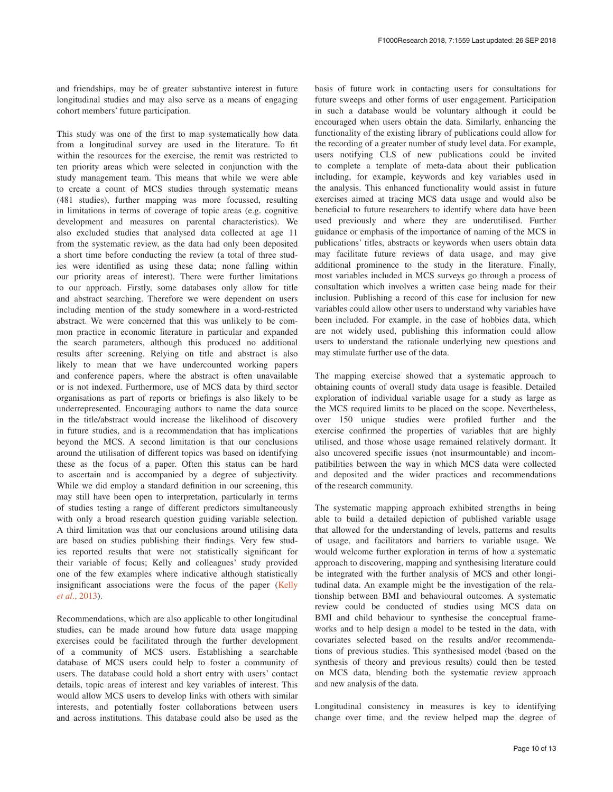and friendships, may be of greater substantive interest in future longitudinal studies and may also serve as a means of engaging cohort members' future participation.

This study was one of the first to map systematically how data from a longitudinal survey are used in the literature. To fit within the resources for the exercise, the remit was restricted to ten priority areas which were selected in conjunction with the study management team. This means that while we were able to create a count of MCS studies through systematic means (481 studies), further mapping was more focussed, resulting in limitations in terms of coverage of topic areas (e.g. cognitive development and measures on parental characteristics). We also excluded studies that analysed data collected at age 11 from the systematic review, as the data had only been deposited a short time before conducting the review (a total of three studies were identified as using these data; none falling within our priority areas of interest). There were further limitations to our approach. Firstly, some databases only allow for title and abstract searching. Therefore we were dependent on users including mention of the study somewhere in a word-restricted abstract. We were concerned that this was unlikely to be common practice in economic literature in particular and expanded the search parameters, although this produced no additional results after screening. Relying on title and abstract is also likely to mean that we have undercounted working papers and conference papers, where the abstract is often unavailable or is not indexed. Furthermore, use of MCS data by third sector organisations as part of reports or briefings is also likely to be underrepresented. Encouraging authors to name the data source in the title/abstract would increase the likelihood of discovery in future studies, and is a recommendation that has implications beyond the MCS. A second limitation is that our conclusions around the utilisation of different topics was based on identifying these as the focus of a paper. Often this status can be hard to ascertain and is accompanied by a degree of subjectivity. While we did employ a standard definition in our screening, this may still have been open to interpretation, particularly in terms of studies testing a range of different predictors simultaneously with only a broad research question guiding variable selection. A third limitation was that our conclusions around utilising data are based on studies publishing their findings. Very few studies reported results that were not statistically significant for their variable of focus; Kelly and colleagues' study provided one of the few examples where indicative although statistically insignificant associations were the focus of the paper ([Kelly](#page-11-0)  *et al*[., 2013](#page-11-0)).

Recommendations, which are also applicable to other longitudinal studies, can be made around how future data usage mapping exercises could be facilitated through the further development of a community of MCS users. Establishing a searchable database of MCS users could help to foster a community of users. The database could hold a short entry with users' contact details, topic areas of interest and key variables of interest. This would allow MCS users to develop links with others with similar interests, and potentially foster collaborations between users and across institutions. This database could also be used as the

basis of future work in contacting users for consultations for future sweeps and other forms of user engagement. Participation in such a database would be voluntary although it could be encouraged when users obtain the data. Similarly, enhancing the functionality of the existing library of publications could allow for the recording of a greater number of study level data. For example, users notifying CLS of new publications could be invited to complete a template of meta-data about their publication including, for example, keywords and key variables used in the analysis. This enhanced functionality would assist in future exercises aimed at tracing MCS data usage and would also be beneficial to future researchers to identify where data have been used previously and where they are underutilised. Further guidance or emphasis of the importance of naming of the MCS in publications' titles, abstracts or keywords when users obtain data may facilitate future reviews of data usage, and may give additional prominence to the study in the literature. Finally, most variables included in MCS surveys go through a process of consultation which involves a written case being made for their inclusion. Publishing a record of this case for inclusion for new variables could allow other users to understand why variables have been included. For example, in the case of hobbies data, which are not widely used, publishing this information could allow users to understand the rationale underlying new questions and may stimulate further use of the data.

The mapping exercise showed that a systematic approach to obtaining counts of overall study data usage is feasible. Detailed exploration of individual variable usage for a study as large as the MCS required limits to be placed on the scope. Nevertheless, over 150 unique studies were profiled further and the exercise confirmed the properties of variables that are highly utilised, and those whose usage remained relatively dormant. It also uncovered specific issues (not insurmountable) and incompatibilities between the way in which MCS data were collected and deposited and the wider practices and recommendations of the research community.

The systematic mapping approach exhibited strengths in being able to build a detailed depiction of published variable usage that allowed for the understanding of levels, patterns and results of usage, and facilitators and barriers to variable usage. We would welcome further exploration in terms of how a systematic approach to discovering, mapping and synthesising literature could be integrated with the further analysis of MCS and other longitudinal data. An example might be the investigation of the relationship between BMI and behavioural outcomes. A systematic review could be conducted of studies using MCS data on BMI and child behaviour to synthesise the conceptual frameworks and to help design a model to be tested in the data, with covariates selected based on the results and/or recommendations of previous studies. This synthesised model (based on the synthesis of theory and previous results) could then be tested on MCS data, blending both the systematic review approach and new analysis of the data.

Longitudinal consistency in measures is key to identifying change over time, and the review helped map the degree of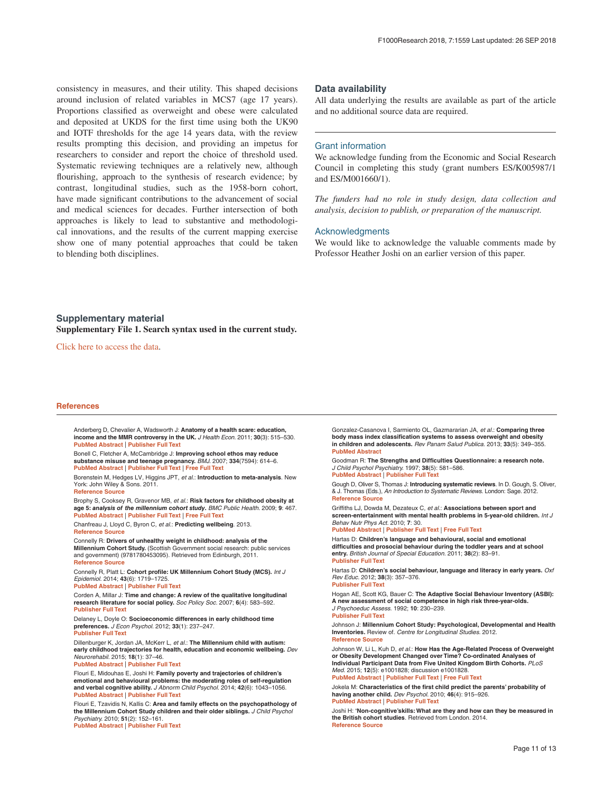<span id="page-10-0"></span>consistency in measures, and their utility. This shaped decisions around inclusion of related variables in MCS7 (age 17 years). Proportions classified as overweight and obese were calculated and deposited at UKDS for the first time using both the UK90 and IOTF thresholds for the age 14 years data, with the review results prompting this decision, and providing an impetus for researchers to consider and report the choice of threshold used. Systematic reviewing techniques are a relatively new, although flourishing, approach to the synthesis of research evidence; by contrast, longitudinal studies, such as the 1958-born cohort, have made significant contributions to the advancement of social and medical sciences for decades. Further intersection of both approaches is likely to lead to substantive and methodological innovations, and the results of the current mapping exercise show one of many potential approaches that could be taken to blending both disciplines.

#### **Data availability**

All data underlying the results are available as part of the article and no additional source data are required.

#### Grant information

We acknowledge funding from the Economic and Social Research Council in completing this study (grant numbers ES/K005987/1 and ES/M001660/1).

*The funders had no role in study design, data collection and analysis, decision to publish, or preparation of the manuscript.*

#### Acknowledgments

We would like to acknowledge the valuable comments made by Professor Heather Joshi on an earlier version of this paper.

**Supplementary material Supplementary File 1. Search syntax used in the current study.**

[Click here to access the data.](https://f1000researchdata.s3.amazonaws.com/supplementary/15990/eb8c8a66-e5fe-43e7-a0f6-a237f3f0ab32_Supplementary_File_1.docx)

#### **References**

Anderberg D, Chevalier A, Wadsworth J: **Anatomy of a health scare: education, income and the MMR controversy in the UK.** *J Health Econ.* 2011; **30**(3): 515–530. **[PubMed Abstract](http://www.ncbi.nlm.nih.gov/pubmed/21439663)** | **[Publisher Full Text](http://dx.doi.org/10.1016/j.jhealeco.2011.01.009)**

Bonell C, Fletcher A, McCambridge J: **Improving school ethos may reduce substance misuse and teenage pregnancy.** *BMJ.* 2007; **334**(7594): 614–6. **[PubMed Abstract](http://www.ncbi.nlm.nih.gov/pubmed/17379908)** | **[Publisher Full Text](http://dx.doi.org/10.1136/bmj.39139.414005.AD)** | **[Free Full Text](http://www.ncbi.nlm.nih.gov/pmc/articles/1832004)**

Borenstein M, Hedges LV, Higgins JPT, *et al.*: **Introduction to meta-analysis**. New York: John Wiley & Sons. 2011. **[Reference Source](https://books.google.co.in/books/about/Introduction_to_Meta_Analysis.html?id=JQg9jdrq26wC&redir_esc=y)**

Brophy S, Cooksey R, Gravenor MB, *et al.*: **Risk factors for childhood obesity at age 5:** *analysis of the millennium cohort study***.** *BMC Public Health.* 2009; **9**: 467. **[PubMed Abstract](http://www.ncbi.nlm.nih.gov/pubmed/20015353)** | **[Publisher Full Text](http://dx.doi.org/10.1186/1471-2458-9-467)** | **[Free Full Text](http://www.ncbi.nlm.nih.gov/pmc/articles/2803190)**

Chanfreau J, Lloyd C, Byron C, *et al.*: **Predicting wellbeing**. 2013.

**[Reference Source](http://www.scie-socialcareonline.org.uk/predicting-wellbeing/r/a11G0000002WFBiIAO)**

Connelly R: **Drivers of unhealthy weight in childhood: analysis of the Millennium Cohort Study.** (Scottish Government social research: public services and government) (9781780453095). Retrieved from Edinburgh, 2011. **[Reference Source](http://www.gov.scot/resource/doc/356897/0120590.pdf)**

Connelly R, Platt L: **Cohort profile: UK Millennium Cohort Study (MCS).** *Int J Epidemiol.* 2014; **43**(6): 1719–1725. **[PubMed Abstract](http://www.ncbi.nlm.nih.gov/pubmed/24550246)** | **[Publisher Full Text](http://dx.doi.org/10.1093/ije/dyu001)**

Corden A, Millar J: **Time and change: A review of the qualitative longitudinal research literature for social policy.** *Soc Policy Soc.* 2007; **6**(4): 583–592. **[Publisher Full Text](http://dx.doi.org/10.1017/S1474746407003910)**

Delaney L, Doyle O: **Socioeconomic differences in early childhood time preferences.** *J Econ Psychol.* 2012; **33**(1): 237–247. **[Publisher Full Text](http://dx.doi.org/10.1016/j.joep.2011.08.010)**

Dillenburger K, Jordan JA, McKerr L, *et al.*: **The Millennium child with autism: early childhood trajectories for health, education and economic wellbeing.** *Dev Neurorehabil.* 2015; **18**(1): 37–46.

#### **[PubMed Abstract](http://www.ncbi.nlm.nih.gov/pubmed/25289682)** | **[Publisher Full Text](http://dx.doi.org/10.3109/17518423.2014.964378)**

Flouri E, Midouhas E, Joshi H: **Family poverty and trajectories of children's emotional and behavioural problems: the moderating roles of self-regulation and verbal cognitive ability.** *J Abnorm Child Psychol.* 2014; **42**(6): 1043–1056. **[PubMed Abstract](http://www.ncbi.nlm.nih.gov/pubmed/24473936)** | **[Publisher Full Text](http://dx.doi.org/10.1007/s10802-013-9848-3)**

Flouri E, Tzavidis N, Kallis C: **Area and family effects on the psychopathology of the Millennium Cohort Study children and their older siblings.** *J Child Psychol Psychiatry.* 2010; **51**(2): 152–161.

**[PubMed Abstract](http://www.ncbi.nlm.nih.gov/pubmed/19804382)** | **[Publisher Full Text](http://dx.doi.org/10.1111/j.1469-7610.2009.02156.x)**

Gonzalez-Casanova I, Sarmiento OL, Gazmararian JA, *et al.*: **Comparing three body mass index classification systems to assess overweight and obesity in children and adolescents.** *Rev Panam Salud Publica.* 2013; **33**(5): 349–355. **[PubMed Abstract](http://www.ncbi.nlm.nih.gov/pubmed/23764666)**

Goodman R: **The Strengths and Difficulties Questionnaire: a research note.** *J Child Psychol Psychiatry.* 1997; **38**(5): 581–586. **[PubMed Abstract](http://www.ncbi.nlm.nih.gov/pubmed/9255702)** | **[Publisher Full Text](http://dx.doi.org/10.1111/j.1469-7610.1997.tb01545.x)**

Gough D, Oliver S, Thomas J: **Introducing systematic reviews**. In D. Gough, S. Oliver, & J. Thomas (Eds.), *An Introduction to Systematic Reviews*. London: Sage. 2012. **[Reference Source](https://uk.sagepub.com/sites/default/files/upm-binaries/46999_Gough_Chapter_1.pdf)**

Griffiths LJ, Dowda M, Dezateux C, *et al.*: **Associations between sport and screen-entertainment with mental health problems in 5-year-old children.** *Int J Behav Nutr Phys Act.* 2010; **7**: 30.

**[PubMed Abstract](http://www.ncbi.nlm.nih.gov/pubmed/20409310)** | **[Publisher Full Text](http://dx.doi.org/10.1186/1479-5868-7-30)** | **[Free Full Text](http://www.ncbi.nlm.nih.gov/pmc/articles/2867988)**

Hartas D: **Children's language and behavioural, social and emotional difficulties and prosocial behaviour during the toddler years and at school entry.** *British Journal of Special Education.* 2011; **38**(2): 83–91. **[Publisher Full Text](http://dx.doi.org/10.1111/j.1467-8578.2011.00507.x)**

Hartas D: **Children's social behaviour, language and literacy in early years.** *Oxf Rev Educ.* 2012; **38**(3): 357–376. **[Publisher Full Text](http://dx.doi.org/10.1080/03054985.2012.699748)**

Hogan AE, Scott KG, Bauer C: **The Adaptive Social Behaviour Inventory (ASBI): A new assessment of social competence in high risk three-year-olds.**  *J Psychoeduc Assess.* 1992; **10**: 230–239. **[Publisher Full Text](https://doi.org/10.1177/073428299201000303)**

Johnson J: **Millennium Cohort Study: Psychological, Developmental and Health Inventories.** Review of. *Centre for Longitudinal Studies.* 2012. **[Reference Source](http://www.cls.ioe.ac.uk/library-media\documents\Guide to Psychological Inventories in MCS.pdf)**

Johnson W, Li L, Kuh D, *et al.*: **How Has the Age-Related Process of Overweight or Obesity Development Changed over Time? Co-ordinated Analyses of Individual Participant Data from Five United Kingdom Birth Cohorts.** *PLoS Med.* 2015; **12**(5): e1001828; discussion e1001828. **[PubMed Abstract](http://www.ncbi.nlm.nih.gov/pubmed/25993005)** | **[Publisher Full Text](http://dx.doi.org/10.1371/journal.pmed.1001828)** | **[Free Full Text](http://www.ncbi.nlm.nih.gov/pmc/articles/4437909)**

Jokela M: **Characteristics of the first child predict the parents' probability of having another child.** *Dev Psychol.* 2010; **46**(4): 915–926. **[PubMed Abstract](http://www.ncbi.nlm.nih.gov/pubmed/20604611)** | **[Publisher Full Text](http://dx.doi.org/10.1037/a0019658)**

Joshi H: **'Non-cognitive'skills: What are they and how can they be measured in the British cohort studies**. Retrieved from London. 2014. **[Reference Source](http://www.cls.ioe.ac.uk/library-media\documents\CLS WP 2014(6) - Non-cognitive skills, What are they and how can they be measured in the British cohort studies - H Joshi - September 2014.pdf)**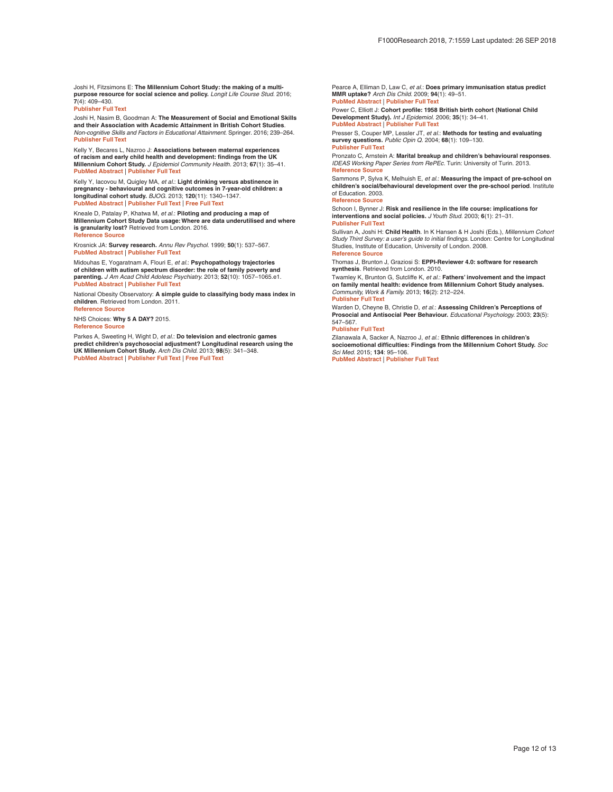<span id="page-11-0"></span>Joshi H, Fitzsimons E: **The Millennium Cohort Study: the making of a multipurpose resource for social science and policy.** *Longit Life Course Stud.* 2016; **7**(4): 409–430.

**[Publisher Full Text](http://dx.doi.org/10.14301/llcs.v7i4.410)**

Joshi H, Nasim B, Goodman A: **The Measurement of Social and Emotional Skills and their Association with Academic Attainment in British Cohort Studies**. *Non-cognitive Skills and Factors in Educational Attainment.* Springer. 2016; 239–264. **[Publisher Full Text](http://dx.doi.org/10.1007/978-94-6300-591-3_11)**

Kelly Y, Becares L, Nazroo J: **Associations between maternal experiences of racism and early child health and development: findings from the UK Millennium Cohort Study.** *J Epidemiol Community Health.* 2013; **67**(1): 35–41. **[PubMed Abstract](http://www.ncbi.nlm.nih.gov/pubmed/22760222)** | **[Publisher Full Text](http://dx.doi.org/10.1136/jech-2011-200814)**

Kelly Y, Iacovou M, Quigley MA, *et al.*: **Light drinking versus abstinence in pregnancy - behavioural and cognitive outcomes in 7-year-old children: a longitudinal cohort study.** *BJOG.* 2013; **120**(11): 1340–1347. **[PubMed Abstract](http://www.ncbi.nlm.nih.gov/pubmed/23590126)** | **[Publisher Full Text](http://dx.doi.org/10.1111/1471-0528.12246)** | **[Free Full Text](http://www.ncbi.nlm.nih.gov/pmc/articles/4296342)**

Kneale D, Patalay P, Khatwa M, *et al.*: **Piloting and producing a map of Millennium Cohort Study Data usage: Where are data underutilised and where is granularity lost?** Retrieved from London. 2016. **[Reference Source](https://eppi.ioe.ac.uk/CMS/Portals/0/PDF reviews and summaries/MCS map 2016 Kneale.pdf)**

Krosnick JA: **Survey research.** *Annu Rev Psychol.* 1999; **50**(1): 537–567. **[PubMed Abstract](http://www.ncbi.nlm.nih.gov/pubmed/15012463)** | **[Publisher Full Text](http://dx.doi.org/10.1146/annurev.psych.50.1.537)**

Midouhas E, Yogaratnam A, Flouri E, *et al.*: **Psychopathology trajectories of children with autism spectrum disorder: the role of family poverty and parenting.** *J Am Acad Child Adolesc Psychiatry.* 2013; **52**(10): 1057–1065.e1. **[PubMed Abstract](http://www.ncbi.nlm.nih.gov/pubmed/24074472)** | **[Publisher Full Text](http://dx.doi.org/10.1016/j.jaac.2013.07.011)**

National Obesity Observatory: **A simple guide to classifying body mass index in children**. Retrieved from London. 2011. **[Reference Source](https://www.researchgate.net/profile/Nabeel_Almotairy/post/How_to_categorize_childrens_growth_status_without_x-rays_in_dentistry/attachment/59d6390479197b80779963ca/AS:400034026803200@1472386952459/download/Classifying_BMI_in_children.pdf)**

NHS Choices: **Why 5 A DAY?** 2015. **Reference Sourc** 

Parkes A, Sweeting H, Wight D, *et al.*: **Do television and electronic games predict children's psychosocial adjustment? Longitudinal research using the UK Millennium Cohort Study.** *Arch Dis Child.* 2013; **98**(5): 341–348. **[PubMed Abstract](http://www.ncbi.nlm.nih.gov/pubmed/23529828)** | **[Publisher Full Text](http://dx.doi.org/10.1136/archdischild-2011-301508)** | **[Free Full Text](http://www.ncbi.nlm.nih.gov/pmc/articles/3625829)**

Pearce A, Elliman D, Law C, *et al.*: **Does primary immunisation status predict MMR uptake?** *Arch Dis Child.* 2009; **94**(1): 49–51. **[PubMed Abstract](http://www.ncbi.nlm.nih.gov/pubmed/18463124)** | **[Publisher Full Text](http://dx.doi.org/10.1136/adc.2007.132647)**

Power C, Elliott J: **Cohort profile: 1958 British birth cohort (National Child Development Study).** *Int J Epidemiol.* 2006; **35**(1): 34–41. **[PubMed Abstract](http://www.ncbi.nlm.nih.gov/pubmed/16155052)** | **[Publisher Full Text](http://dx.doi.org/10.1093/ije/dyi183)**

Presser S, Couper MP, Lessler JT, *et al.*: **Methods for testing and evaluating survey questions.** *Public Opin Q.* 2004; **68**(1): 109–130. **[Publisher Full Text](http://dx.doi.org/10.1093/poq/nfh008)**

Pronzato C, Arnstein A: **Marital breakup and children's behavioural responses**. *IDEAS Working Paper Series from RePEc.* Turin: University of Turin. 2013. **[Reference Source](https://ideas.repec.org/p/uto/dipeco/201339.html)**

Sammons P, Sylva K, Melhuish E, *et al.*: **Measuring the impact of pre-school on children's social/behavioural development over the pre-school period**. Institute of Education. 2003.

#### **[Reference Source](https://www.researchconnections.org/childcare/resources/8723)**

Schoon I, Bynner J: **Risk and resilience in the life course: implications for interventions and social policies.** *J Youth Stud.* 2003; **6**(1): 21–31. **[Publisher Full Text](http://dx.doi.org/10.1080/1367626032000068145)**

Sullivan A, Joshi H: **Child Health**. In K Hansen & H Joshi (Eds.), *Millennium Cohort Study Third Survey: a user's guide to initial findings.* London: Centre for Longitudinal Studies, Institute of Education, University of London. 2008. **[Reference Source](http://discovery.ucl.ac.uk/10005931/1/MCS_3_Descriptive_Report_Oct_2008.pdf)**

Thomas J, Brunton J, Graziosi S: **EPPI-Reviewer 4.0: software for research synthesis**. Retrieved from London. 2010.

Twamley K, Brunton G, Sutcliffe K, *et al.*: **Fathers' involvement and the impact on family mental health: evidence from Millennium Cohort Study analyses.** *Community, Work & Family.* 2013; **16**(2): 212–224.

#### **[Publisher Full Text](http://dx.doi.org/10.1080/13668803.2012.755022)**

Warden D, Cheyne B, Christie D, *et al.*: **Assessing Children's Perceptions of Prosocial and Antisocial Peer Behaviour.** *Educational Psychology.* 2003; **23**(5): 547–567.

#### **[Publisher Full Text](http://dx.doi.org/10.1080/0144341032000123796)**

Zilanawala A, Sacker A, Nazroo J, *et al.*: **Ethnic differences in children's socioemotional difficulties: Findings from the Millennium Cohort Study.** *Soc Sci Med.* 2015; **134**: 95–106.

**[PubMed Abstract](http://www.ncbi.nlm.nih.gov/pubmed/25931288)** | **[Publisher Full Text](http://dx.doi.org/10.1016/j.socscimed.2015.04.012)**